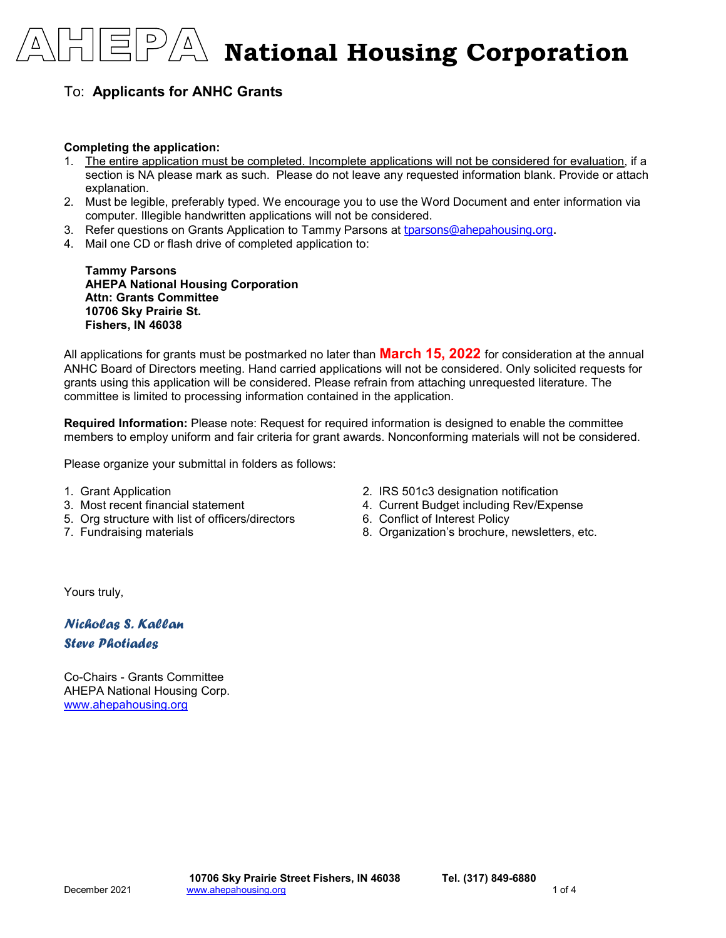**12/8/2021 National Housing Corporation**

## To: **Applicants for ANHC Grants**

 $\bigwedge_{\mathcal{L}}\Delta$ 

#### **Completing the application:**

- 1. The entire application must be completed. Incomplete applications will not be considered for evaluation, if a section is NA please mark as such. Please do not leave any requested information blank. Provide or attach explanation.
- 2. Must be legible, preferably typed. We encourage you to use the Word Document and enter information via computer. Illegible handwritten applications will not be considered.
- 3. Refer questions on Grants Application to Tammy Parsons at [tparsons@ahepahousing.org.](mailto:tparsons@ahepahousing.org)
- 4. Mail one CD or flash drive of completed application to:

**Tammy Parsons AHEPA National Housing Corporation Attn: Grants Committee 10706 Sky Prairie St. Fishers, IN 46038**

All applications for grants must be postmarked no later than **March 15, 2022** for consideration at the annual ANHC Board of Directors meeting. Hand carried applications will not be considered. Only solicited requests for grants using this application will be considered. Please refrain from attaching unrequested literature. The committee is limited to processing information contained in the application.

**Required Information:** Please note: Request for required information is designed to enable the committee members to employ uniform and fair criteria for grant awards. Nonconforming materials will not be considered.

Please organize your submittal in folders as follows:

- 
- 
- 5. Org structure with list of officers/directors 6. Conflict of Interest Policy
- 
- 
- 1. Grant Application 2. IRS 501c3 designation notification 4. Current Budget including Rev/Expense
	-
- 7. Fundraising materials **8.** Organization's brochure, newsletters, etc.

Yours truly,

*Nicholas S. Kallan Steve Photiades*

Co-Chairs - Grants Committee AHEPA National Housing Corp. [www.ahepahousing.org](http://www.ahepahousing.org/)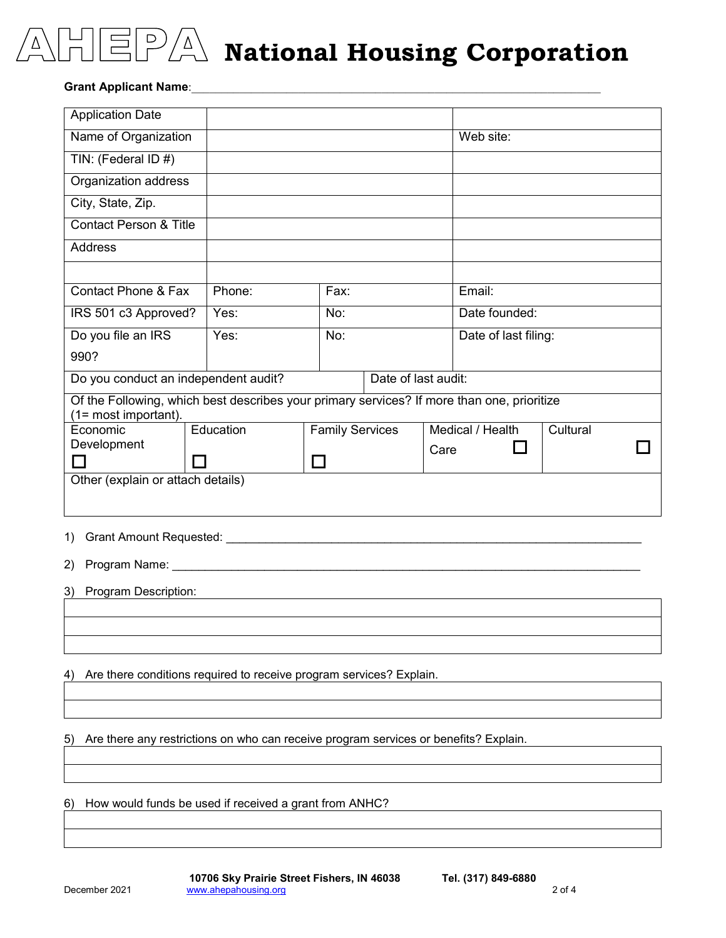

**12/8/2021 National Housing Corporation**

#### **Grant Applicant Name:**

| <b>Application Date</b>                                                                                                                                                                                                              |           |                        |  |      |                      |          |  |
|--------------------------------------------------------------------------------------------------------------------------------------------------------------------------------------------------------------------------------------|-----------|------------------------|--|------|----------------------|----------|--|
| Name of Organization                                                                                                                                                                                                                 |           |                        |  |      | Web site:            |          |  |
| TIN: (Federal ID #)                                                                                                                                                                                                                  |           |                        |  |      |                      |          |  |
| Organization address                                                                                                                                                                                                                 |           |                        |  |      |                      |          |  |
| City, State, Zip.                                                                                                                                                                                                                    |           |                        |  |      |                      |          |  |
| <b>Contact Person &amp; Title</b>                                                                                                                                                                                                    |           |                        |  |      |                      |          |  |
| <b>Address</b>                                                                                                                                                                                                                       |           |                        |  |      |                      |          |  |
|                                                                                                                                                                                                                                      |           |                        |  |      |                      |          |  |
| <b>Contact Phone &amp; Fax</b>                                                                                                                                                                                                       | Phone:    | Fax:                   |  |      | Email:               |          |  |
| IRS 501 c3 Approved?                                                                                                                                                                                                                 | Yes:      | No:                    |  |      | Date founded:        |          |  |
| Do you file an IRS                                                                                                                                                                                                                   | Yes:      | No:                    |  |      | Date of last filing: |          |  |
| 990?                                                                                                                                                                                                                                 |           |                        |  |      |                      |          |  |
| Do you conduct an independent audit?<br>Date of last audit:                                                                                                                                                                          |           |                        |  |      |                      |          |  |
| Of the Following, which best describes your primary services? If more than one, prioritize<br>(1= most important).                                                                                                                   |           |                        |  |      |                      |          |  |
| Economic                                                                                                                                                                                                                             | Education | <b>Family Services</b> |  |      | Medical / Health     | Cultural |  |
| Development<br>$\Box$                                                                                                                                                                                                                |           |                        |  | Care |                      |          |  |
| Other (explain or attach details)                                                                                                                                                                                                    |           |                        |  |      |                      |          |  |
|                                                                                                                                                                                                                                      |           |                        |  |      |                      |          |  |
| Grant Amount Requested: Cambridge Contract Contract Contract Contract Contract Contract Contract Contract Contract Contract Contract Contract Contract Contract Contract Contract Contract Contract Contract Contract Contract<br>1) |           |                        |  |      |                      |          |  |
| 2)                                                                                                                                                                                                                                   |           |                        |  |      |                      |          |  |
| Program Description:<br>3)                                                                                                                                                                                                           |           |                        |  |      |                      |          |  |

4) Are there conditions required to receive program services? Explain.

5) Are there any restrictions on who can receive program services or benefits? Explain.

6) How would funds be used if received a grant from ANHC?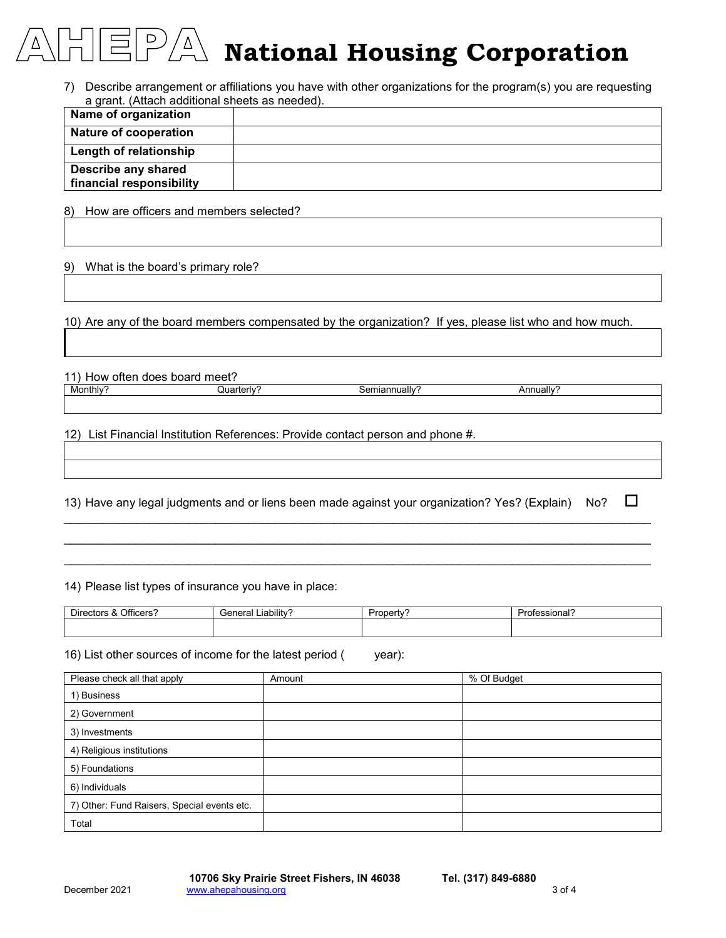## $\overline{C}$ **12/8/2021 National Housing Corporation**

7) Describe arrangement or affiliations you have with other organizations for the program(s) you are requesting a grant. (Attach additional sheets as needed).

| Name of organization         |  |
|------------------------------|--|
| <b>Nature of cooperation</b> |  |
| Length of relationship       |  |
| Describe any shared          |  |
| financial responsibility     |  |

8) How are officers and members selected?

### 9) What is the board's primary role?

10) Are any of the board members compensated by the organization? If yes, please list who and how much.

| 11) How often does board meet? |             |               |                       |  |
|--------------------------------|-------------|---------------|-----------------------|--|
| Monthly?                       | ิ uarterl∨′ | 3emiannually? | Annually <sup>2</sup> |  |
|                                |             |               |                       |  |

12) List Financial Institution References: Provide contact person and phone #.

|  |  | 13) Have any legal judgments and or liens been made against your organization? Yes? (Explain) No? |  | $\Box$ |
|--|--|---------------------------------------------------------------------------------------------------|--|--------|
|  |  |                                                                                                   |  |        |

\_\_\_\_\_\_\_\_\_\_\_\_\_\_\_\_\_\_\_\_\_\_\_\_\_\_\_\_\_\_\_\_\_\_\_\_\_\_\_\_\_\_\_\_\_\_\_\_\_\_\_\_\_\_\_\_\_\_\_\_\_\_\_\_\_\_\_\_\_\_\_\_\_\_\_\_\_\_\_\_\_\_\_\_\_\_\_\_\_ \_\_\_\_\_\_\_\_\_\_\_\_\_\_\_\_\_\_\_\_\_\_\_\_\_\_\_\_\_\_\_\_\_\_\_\_\_\_\_\_\_\_\_\_\_\_\_\_\_\_\_\_\_\_\_\_\_\_\_\_\_\_\_\_\_\_\_\_\_\_\_\_\_\_\_\_\_\_\_\_\_\_\_\_\_\_\_\_\_ \_\_\_\_\_\_\_\_\_\_\_\_\_\_\_\_\_\_\_\_\_\_\_\_\_\_\_\_\_\_\_\_\_\_\_\_\_\_\_\_\_\_\_\_\_\_\_\_\_\_\_\_\_\_\_\_\_\_\_\_\_\_\_\_\_\_\_\_\_\_\_\_\_\_\_\_\_\_\_\_\_\_\_\_\_\_\_\_\_

14) Please list types of insurance you have in place:

| Officers?<br>$- \cdot$<br>Directors & ' | <br>∟ıabılıtv'<br>General | Propert.<br>τv | $\overline{\phantom{a}}$<br>Dr.<br>∵ofessional |
|-----------------------------------------|---------------------------|----------------|------------------------------------------------|
|                                         |                           |                |                                                |

16) List other sources of income for the latest period ( year):

| Please check all that apply                 | Amount | % Of Budget |
|---------------------------------------------|--------|-------------|
| 1) Business                                 |        |             |
| 2) Government                               |        |             |
| 3) Investments                              |        |             |
| 4) Religious institutions                   |        |             |
| 5) Foundations                              |        |             |
| 6) Individuals                              |        |             |
| 7) Other: Fund Raisers, Special events etc. |        |             |
| Total                                       |        |             |